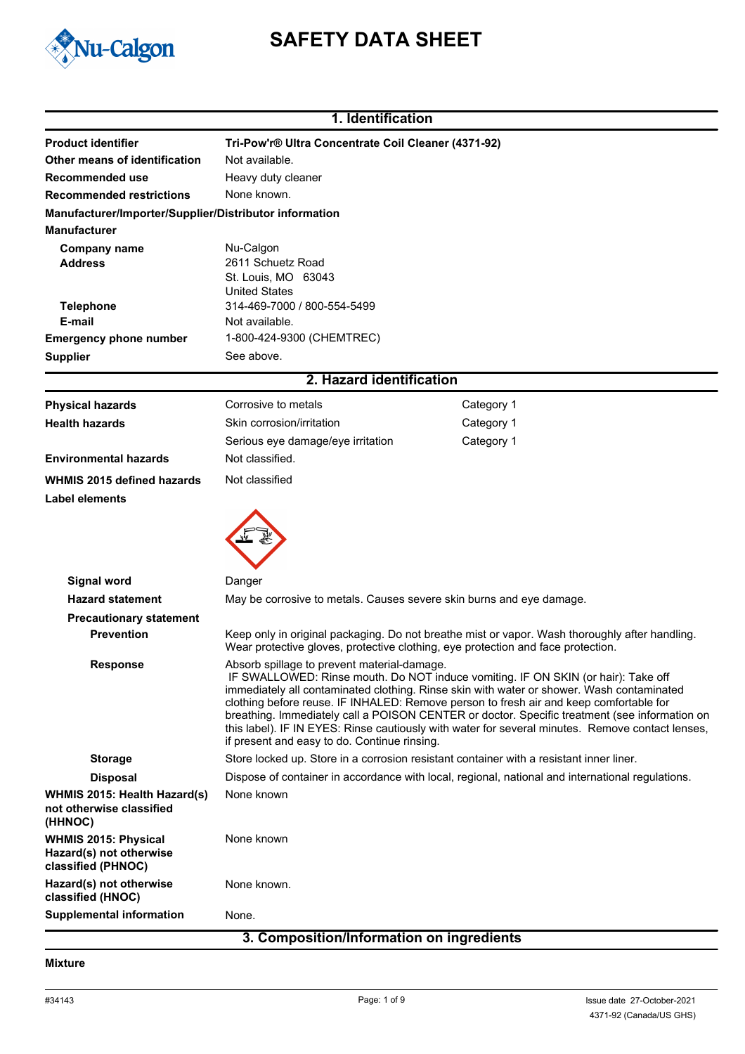

# **SAFETY DATA SHEET**

|                                                                              | 1. Identification                                                                                                                                                                                                                                                                                                                                                                                                                                                                                                                                                            |                                                                                                |  |
|------------------------------------------------------------------------------|------------------------------------------------------------------------------------------------------------------------------------------------------------------------------------------------------------------------------------------------------------------------------------------------------------------------------------------------------------------------------------------------------------------------------------------------------------------------------------------------------------------------------------------------------------------------------|------------------------------------------------------------------------------------------------|--|
| <b>Product identifier</b>                                                    | Tri-Pow'r® Ultra Concentrate Coil Cleaner (4371-92)                                                                                                                                                                                                                                                                                                                                                                                                                                                                                                                          |                                                                                                |  |
| Other means of identification                                                | Not available.                                                                                                                                                                                                                                                                                                                                                                                                                                                                                                                                                               |                                                                                                |  |
| Recommended use                                                              | Heavy duty cleaner                                                                                                                                                                                                                                                                                                                                                                                                                                                                                                                                                           |                                                                                                |  |
| <b>Recommended restrictions</b>                                              | None known.                                                                                                                                                                                                                                                                                                                                                                                                                                                                                                                                                                  |                                                                                                |  |
| Manufacturer/Importer/Supplier/Distributor information                       |                                                                                                                                                                                                                                                                                                                                                                                                                                                                                                                                                                              |                                                                                                |  |
| <b>Manufacturer</b>                                                          |                                                                                                                                                                                                                                                                                                                                                                                                                                                                                                                                                                              |                                                                                                |  |
| <b>Company name</b>                                                          | Nu-Calgon                                                                                                                                                                                                                                                                                                                                                                                                                                                                                                                                                                    |                                                                                                |  |
| <b>Address</b>                                                               | 2611 Schuetz Road                                                                                                                                                                                                                                                                                                                                                                                                                                                                                                                                                            |                                                                                                |  |
|                                                                              | St. Louis, MO 63043<br><b>United States</b>                                                                                                                                                                                                                                                                                                                                                                                                                                                                                                                                  |                                                                                                |  |
| <b>Telephone</b>                                                             | 314-469-7000 / 800-554-5499                                                                                                                                                                                                                                                                                                                                                                                                                                                                                                                                                  |                                                                                                |  |
| E-mail                                                                       | Not available.                                                                                                                                                                                                                                                                                                                                                                                                                                                                                                                                                               |                                                                                                |  |
| <b>Emergency phone number</b>                                                | 1-800-424-9300 (CHEMTREC)                                                                                                                                                                                                                                                                                                                                                                                                                                                                                                                                                    |                                                                                                |  |
| <b>Supplier</b>                                                              | See above.                                                                                                                                                                                                                                                                                                                                                                                                                                                                                                                                                                   |                                                                                                |  |
|                                                                              | 2. Hazard identification                                                                                                                                                                                                                                                                                                                                                                                                                                                                                                                                                     |                                                                                                |  |
| <b>Physical hazards</b>                                                      | Corrosive to metals                                                                                                                                                                                                                                                                                                                                                                                                                                                                                                                                                          | Category 1                                                                                     |  |
| <b>Health hazards</b>                                                        | Skin corrosion/irritation                                                                                                                                                                                                                                                                                                                                                                                                                                                                                                                                                    | Category 1                                                                                     |  |
|                                                                              | Serious eye damage/eye irritation                                                                                                                                                                                                                                                                                                                                                                                                                                                                                                                                            | Category 1                                                                                     |  |
| <b>Environmental hazards</b>                                                 | Not classified.                                                                                                                                                                                                                                                                                                                                                                                                                                                                                                                                                              |                                                                                                |  |
| <b>WHMIS 2015 defined hazards</b>                                            | Not classified                                                                                                                                                                                                                                                                                                                                                                                                                                                                                                                                                               |                                                                                                |  |
| <b>Label elements</b>                                                        |                                                                                                                                                                                                                                                                                                                                                                                                                                                                                                                                                                              |                                                                                                |  |
|                                                                              |                                                                                                                                                                                                                                                                                                                                                                                                                                                                                                                                                                              |                                                                                                |  |
| <b>Signal word</b>                                                           | Danger                                                                                                                                                                                                                                                                                                                                                                                                                                                                                                                                                                       |                                                                                                |  |
| <b>Hazard statement</b>                                                      | May be corrosive to metals. Causes severe skin burns and eye damage.                                                                                                                                                                                                                                                                                                                                                                                                                                                                                                         |                                                                                                |  |
| <b>Precautionary statement</b>                                               |                                                                                                                                                                                                                                                                                                                                                                                                                                                                                                                                                                              |                                                                                                |  |
| <b>Prevention</b>                                                            | Wear protective gloves, protective clothing, eye protection and face protection.                                                                                                                                                                                                                                                                                                                                                                                                                                                                                             | Keep only in original packaging. Do not breathe mist or vapor. Wash thoroughly after handling. |  |
| <b>Response</b>                                                              | Absorb spillage to prevent material-damage.<br>IF SWALLOWED: Rinse mouth. Do NOT induce vomiting. IF ON SKIN (or hair): Take off<br>immediately all contaminated clothing. Rinse skin with water or shower. Wash contaminated<br>clothing before reuse. IF INHALED: Remove person to fresh air and keep comfortable for<br>breathing. Immediately call a POISON CENTER or doctor. Specific treatment (see information on<br>this label). IF IN EYES: Rinse cautiously with water for several minutes. Remove contact lenses,<br>if present and easy to do. Continue rinsing. |                                                                                                |  |
| <b>Storage</b>                                                               | Store locked up. Store in a corrosion resistant container with a resistant inner liner.                                                                                                                                                                                                                                                                                                                                                                                                                                                                                      |                                                                                                |  |
| <b>Disposal</b>                                                              | Dispose of container in accordance with local, regional, national and international regulations.                                                                                                                                                                                                                                                                                                                                                                                                                                                                             |                                                                                                |  |
| <b>WHMIS 2015: Health Hazard(s)</b><br>not otherwise classified<br>(HHNOC)   | None known                                                                                                                                                                                                                                                                                                                                                                                                                                                                                                                                                                   |                                                                                                |  |
| <b>WHMIS 2015: Physical</b><br>Hazard(s) not otherwise<br>classified (PHNOC) | None known                                                                                                                                                                                                                                                                                                                                                                                                                                                                                                                                                                   |                                                                                                |  |
| Hazard(s) not otherwise<br>classified (HNOC)                                 | None known.                                                                                                                                                                                                                                                                                                                                                                                                                                                                                                                                                                  |                                                                                                |  |
| <b>Supplemental information</b>                                              | None.                                                                                                                                                                                                                                                                                                                                                                                                                                                                                                                                                                        |                                                                                                |  |

# **3. Composition/Information on ingredients**

#### **Mixture**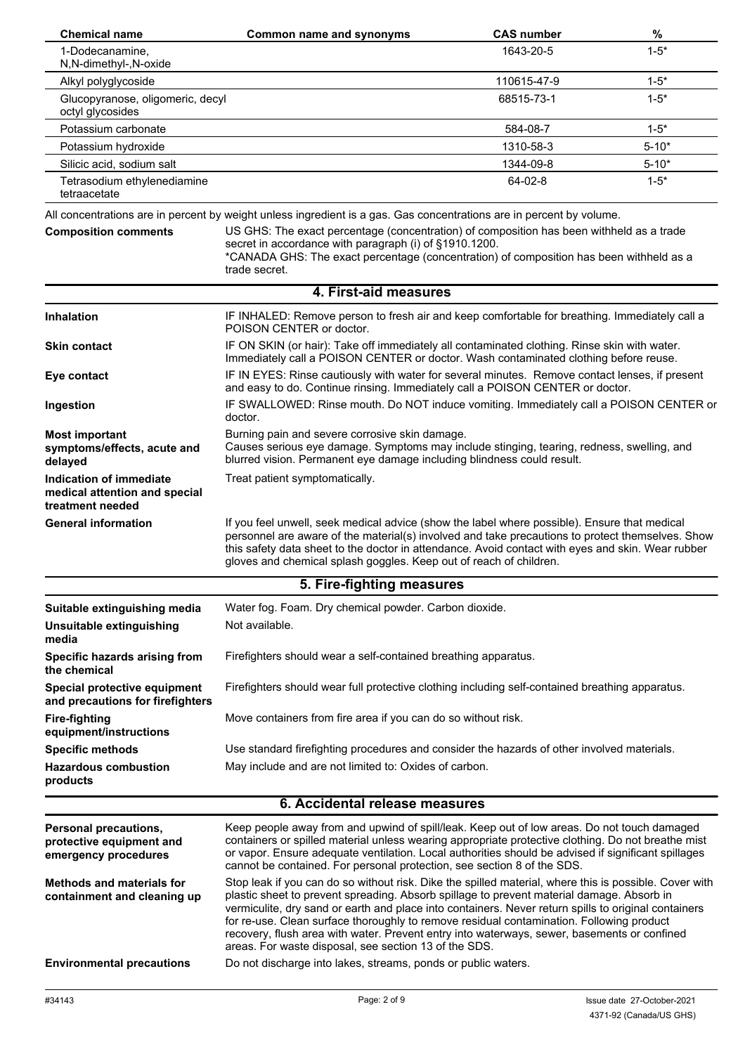| <b>Chemical name</b>                                                         | <b>Common name and synonyms</b>                                                                                                                                                                                                                                                                                                                                                                                                                                                                                                                                 | <b>CAS number</b> | $\%$      |
|------------------------------------------------------------------------------|-----------------------------------------------------------------------------------------------------------------------------------------------------------------------------------------------------------------------------------------------------------------------------------------------------------------------------------------------------------------------------------------------------------------------------------------------------------------------------------------------------------------------------------------------------------------|-------------------|-----------|
| 1-Dodecanamine,<br>N,N-dimethyl-,N-oxide                                     |                                                                                                                                                                                                                                                                                                                                                                                                                                                                                                                                                                 | 1643-20-5         | $1 - 5*$  |
| Alkyl polyglycoside                                                          |                                                                                                                                                                                                                                                                                                                                                                                                                                                                                                                                                                 | 110615-47-9       | $1 - 5^*$ |
| Glucopyranose, oligomeric, decyl<br>octyl glycosides                         |                                                                                                                                                                                                                                                                                                                                                                                                                                                                                                                                                                 | 68515-73-1        | $1 - 5*$  |
| Potassium carbonate                                                          |                                                                                                                                                                                                                                                                                                                                                                                                                                                                                                                                                                 | 584-08-7          | $1 - 5^*$ |
| Potassium hydroxide                                                          |                                                                                                                                                                                                                                                                                                                                                                                                                                                                                                                                                                 | 1310-58-3         | $5 - 10*$ |
| Silicic acid, sodium salt                                                    |                                                                                                                                                                                                                                                                                                                                                                                                                                                                                                                                                                 | 1344-09-8         | $5 - 10*$ |
| Tetrasodium ethylenediamine<br>tetraacetate                                  |                                                                                                                                                                                                                                                                                                                                                                                                                                                                                                                                                                 | 64-02-8           | $1 - 5^*$ |
|                                                                              | All concentrations are in percent by weight unless ingredient is a gas. Gas concentrations are in percent by volume.                                                                                                                                                                                                                                                                                                                                                                                                                                            |                   |           |
| <b>Composition comments</b>                                                  | US GHS: The exact percentage (concentration) of composition has been withheld as a trade<br>secret in accordance with paragraph (i) of §1910.1200.<br>*CANADA GHS: The exact percentage (concentration) of composition has been withheld as a<br>trade secret.                                                                                                                                                                                                                                                                                                  |                   |           |
|                                                                              | 4. First-aid measures                                                                                                                                                                                                                                                                                                                                                                                                                                                                                                                                           |                   |           |
| <b>Inhalation</b>                                                            | IF INHALED: Remove person to fresh air and keep comfortable for breathing. Immediately call a                                                                                                                                                                                                                                                                                                                                                                                                                                                                   |                   |           |
|                                                                              | POISON CENTER or doctor.                                                                                                                                                                                                                                                                                                                                                                                                                                                                                                                                        |                   |           |
| <b>Skin contact</b>                                                          | IF ON SKIN (or hair): Take off immediately all contaminated clothing. Rinse skin with water.<br>Immediately call a POISON CENTER or doctor. Wash contaminated clothing before reuse.                                                                                                                                                                                                                                                                                                                                                                            |                   |           |
| Eye contact                                                                  | IF IN EYES: Rinse cautiously with water for several minutes. Remove contact lenses, if present<br>and easy to do. Continue rinsing. Immediately call a POISON CENTER or doctor.                                                                                                                                                                                                                                                                                                                                                                                 |                   |           |
| Ingestion                                                                    | IF SWALLOWED: Rinse mouth. Do NOT induce vomiting. Immediately call a POISON CENTER or<br>doctor.                                                                                                                                                                                                                                                                                                                                                                                                                                                               |                   |           |
| <b>Most important</b><br>symptoms/effects, acute and<br>delayed              | Burning pain and severe corrosive skin damage.<br>Causes serious eye damage. Symptoms may include stinging, tearing, redness, swelling, and<br>blurred vision. Permanent eye damage including blindness could result.                                                                                                                                                                                                                                                                                                                                           |                   |           |
| Indication of immediate<br>medical attention and special<br>treatment needed | Treat patient symptomatically.                                                                                                                                                                                                                                                                                                                                                                                                                                                                                                                                  |                   |           |
| <b>General information</b>                                                   | If you feel unwell, seek medical advice (show the label where possible). Ensure that medical<br>personnel are aware of the material(s) involved and take precautions to protect themselves. Show<br>this safety data sheet to the doctor in attendance. Avoid contact with eyes and skin. Wear rubber<br>gloves and chemical splash goggles. Keep out of reach of children.                                                                                                                                                                                     |                   |           |
|                                                                              | 5. Fire-fighting measures                                                                                                                                                                                                                                                                                                                                                                                                                                                                                                                                       |                   |           |
|                                                                              | Water fog. Foam. Dry chemical powder. Carbon dioxide.                                                                                                                                                                                                                                                                                                                                                                                                                                                                                                           |                   |           |
| Suitable extinguishing media<br>Unsuitable extinguishing<br>media            | Not available.                                                                                                                                                                                                                                                                                                                                                                                                                                                                                                                                                  |                   |           |
| Specific hazards arising from<br>the chemical                                | Firefighters should wear a self-contained breathing apparatus.                                                                                                                                                                                                                                                                                                                                                                                                                                                                                                  |                   |           |
| Special protective equipment<br>and precautions for firefighters             | Firefighters should wear full protective clothing including self-contained breathing apparatus.                                                                                                                                                                                                                                                                                                                                                                                                                                                                 |                   |           |
| <b>Fire-fighting</b><br>equipment/instructions                               | Move containers from fire area if you can do so without risk.                                                                                                                                                                                                                                                                                                                                                                                                                                                                                                   |                   |           |
| <b>Specific methods</b>                                                      | Use standard firefighting procedures and consider the hazards of other involved materials.                                                                                                                                                                                                                                                                                                                                                                                                                                                                      |                   |           |
| <b>Hazardous combustion</b><br>products                                      | May include and are not limited to: Oxides of carbon.                                                                                                                                                                                                                                                                                                                                                                                                                                                                                                           |                   |           |
|                                                                              | 6. Accidental release measures                                                                                                                                                                                                                                                                                                                                                                                                                                                                                                                                  |                   |           |
| <b>Personal precautions,</b>                                                 | Keep people away from and upwind of spill/leak. Keep out of low areas. Do not touch damaged                                                                                                                                                                                                                                                                                                                                                                                                                                                                     |                   |           |
| protective equipment and<br>emergency procedures                             | containers or spilled material unless wearing appropriate protective clothing. Do not breathe mist<br>or vapor. Ensure adequate ventilation. Local authorities should be advised if significant spillages<br>cannot be contained. For personal protection, see section 8 of the SDS.                                                                                                                                                                                                                                                                            |                   |           |
| <b>Methods and materials for</b><br>containment and cleaning up              | Stop leak if you can do so without risk. Dike the spilled material, where this is possible. Cover with<br>plastic sheet to prevent spreading. Absorb spillage to prevent material damage. Absorb in<br>vermiculite, dry sand or earth and place into containers. Never return spills to original containers<br>for re-use. Clean surface thoroughly to remove residual contamination. Following product<br>recovery, flush area with water. Prevent entry into waterways, sewer, basements or confined<br>areas. For waste disposal, see section 13 of the SDS. |                   |           |
| <b>Environmental precautions</b>                                             | Do not discharge into lakes, streams, ponds or public waters.                                                                                                                                                                                                                                                                                                                                                                                                                                                                                                   |                   |           |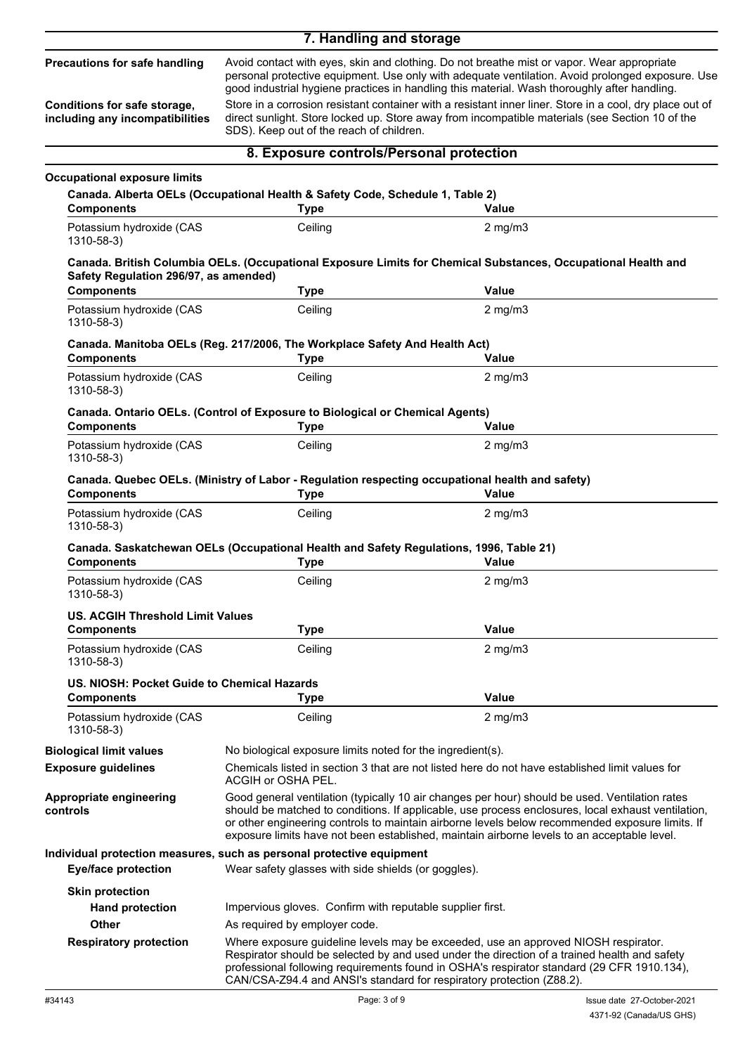## **7. Handling and storage**

#### **Precautions for safe handling**

**Conditions for safe storage, including any incompatibilities**

personal protective equipment. Use only with adequate ventilation. Avoid prolonged exposure. Use good industrial hygiene practices in handling this material. Wash thoroughly after handling. Store in a corrosion resistant container with a resistant inner liner. Store in a cool, dry place out of

Avoid contact with eyes, skin and clothing. Do not breathe mist or vapor. Wear appropriate

direct sunlight. Store locked up. Store away from incompatible materials (see Section 10 of the SDS). Keep out of the reach of children.

|                                                              | 8. Exposure controls/Personal protection                                                                                                                                                                                                                                                                                                                                                               |                                                                                                                                                                                            |  |
|--------------------------------------------------------------|--------------------------------------------------------------------------------------------------------------------------------------------------------------------------------------------------------------------------------------------------------------------------------------------------------------------------------------------------------------------------------------------------------|--------------------------------------------------------------------------------------------------------------------------------------------------------------------------------------------|--|
| <b>Occupational exposure limits</b>                          |                                                                                                                                                                                                                                                                                                                                                                                                        |                                                                                                                                                                                            |  |
|                                                              | Canada. Alberta OELs (Occupational Health & Safety Code, Schedule 1, Table 2)                                                                                                                                                                                                                                                                                                                          |                                                                                                                                                                                            |  |
| <b>Components</b>                                            | <b>Type</b>                                                                                                                                                                                                                                                                                                                                                                                            | Value                                                                                                                                                                                      |  |
| Potassium hydroxide (CAS<br>1310-58-3)                       | Ceiling                                                                                                                                                                                                                                                                                                                                                                                                | $2$ mg/m $3$                                                                                                                                                                               |  |
| Safety Regulation 296/97, as amended)                        |                                                                                                                                                                                                                                                                                                                                                                                                        | Canada. British Columbia OELs. (Occupational Exposure Limits for Chemical Substances, Occupational Health and                                                                              |  |
| <b>Components</b>                                            | <b>Type</b>                                                                                                                                                                                                                                                                                                                                                                                            | <b>Value</b>                                                                                                                                                                               |  |
| Potassium hydroxide (CAS<br>1310-58-3)                       | Ceiling                                                                                                                                                                                                                                                                                                                                                                                                | $2$ mg/m $3$                                                                                                                                                                               |  |
|                                                              | Canada. Manitoba OELs (Reg. 217/2006, The Workplace Safety And Health Act)                                                                                                                                                                                                                                                                                                                             |                                                                                                                                                                                            |  |
| <b>Components</b>                                            | <b>Type</b>                                                                                                                                                                                                                                                                                                                                                                                            | Value                                                                                                                                                                                      |  |
| Potassium hydroxide (CAS<br>1310-58-3)                       | Ceiling                                                                                                                                                                                                                                                                                                                                                                                                | $2$ mg/m $3$                                                                                                                                                                               |  |
| <b>Components</b>                                            | Canada. Ontario OELs. (Control of Exposure to Biological or Chemical Agents)<br><b>Type</b>                                                                                                                                                                                                                                                                                                            | Value                                                                                                                                                                                      |  |
| Potassium hydroxide (CAS<br>1310-58-3)                       | Ceiling                                                                                                                                                                                                                                                                                                                                                                                                | $2$ mg/m $3$                                                                                                                                                                               |  |
| <b>Components</b>                                            | Canada. Quebec OELs. (Ministry of Labor - Regulation respecting occupational health and safety)<br><b>Type</b>                                                                                                                                                                                                                                                                                         | <b>Value</b>                                                                                                                                                                               |  |
| Potassium hydroxide (CAS<br>1310-58-3)                       | Ceiling                                                                                                                                                                                                                                                                                                                                                                                                | $2$ mg/m $3$                                                                                                                                                                               |  |
| <b>Components</b>                                            | Canada. Saskatchewan OELs (Occupational Health and Safety Regulations, 1996, Table 21)<br><b>Type</b>                                                                                                                                                                                                                                                                                                  | <b>Value</b>                                                                                                                                                                               |  |
| Potassium hydroxide (CAS<br>1310-58-3)                       | Ceiling                                                                                                                                                                                                                                                                                                                                                                                                | $2$ mg/m $3$                                                                                                                                                                               |  |
| <b>US. ACGIH Threshold Limit Values</b><br><b>Components</b> | <b>Type</b>                                                                                                                                                                                                                                                                                                                                                                                            | <b>Value</b>                                                                                                                                                                               |  |
| Potassium hydroxide (CAS<br>1310-58-3)                       | Ceiling                                                                                                                                                                                                                                                                                                                                                                                                | $2$ mg/m $3$                                                                                                                                                                               |  |
| US. NIOSH: Pocket Guide to Chemical Hazards                  |                                                                                                                                                                                                                                                                                                                                                                                                        |                                                                                                                                                                                            |  |
| <b>Components</b>                                            | <b>Type</b>                                                                                                                                                                                                                                                                                                                                                                                            | <b>Value</b>                                                                                                                                                                               |  |
| Potassium hydroxide (CAS<br>1310-58-3)                       | Ceiling                                                                                                                                                                                                                                                                                                                                                                                                | $2$ mg/m $3$                                                                                                                                                                               |  |
| <b>Biological limit values</b>                               | No biological exposure limits noted for the ingredient(s).                                                                                                                                                                                                                                                                                                                                             |                                                                                                                                                                                            |  |
| <b>Exposure guidelines</b>                                   | Chemicals listed in section 3 that are not listed here do not have established limit values for<br>ACGIH or OSHA PEL.                                                                                                                                                                                                                                                                                  |                                                                                                                                                                                            |  |
| <b>Appropriate engineering</b><br>controls                   | Good general ventilation (typically 10 air changes per hour) should be used. Ventilation rates<br>should be matched to conditions. If applicable, use process enclosures, local exhaust ventilation,<br>or other engineering controls to maintain airborne levels below recommended exposure limits. If<br>exposure limits have not been established, maintain airborne levels to an acceptable level. |                                                                                                                                                                                            |  |
| <b>Eye/face protection</b>                                   | Individual protection measures, such as personal protective equipment<br>Wear safety glasses with side shields (or goggles).                                                                                                                                                                                                                                                                           |                                                                                                                                                                                            |  |
|                                                              |                                                                                                                                                                                                                                                                                                                                                                                                        |                                                                                                                                                                                            |  |
| <b>Skin protection</b><br><b>Hand protection</b>             | Impervious gloves. Confirm with reputable supplier first.                                                                                                                                                                                                                                                                                                                                              |                                                                                                                                                                                            |  |
| <b>Other</b>                                                 | As required by employer code.                                                                                                                                                                                                                                                                                                                                                                          |                                                                                                                                                                                            |  |
|                                                              |                                                                                                                                                                                                                                                                                                                                                                                                        | Where exposure guideline levels may be exceeded, use an approved NIOSH respirator.                                                                                                         |  |
| <b>Respiratory protection</b>                                | CAN/CSA-Z94.4 and ANSI's standard for respiratory protection (Z88.2).                                                                                                                                                                                                                                                                                                                                  | Respirator should be selected by and used under the direction of a trained health and safety<br>professional following requirements found in OSHA's respirator standard (29 CFR 1910.134), |  |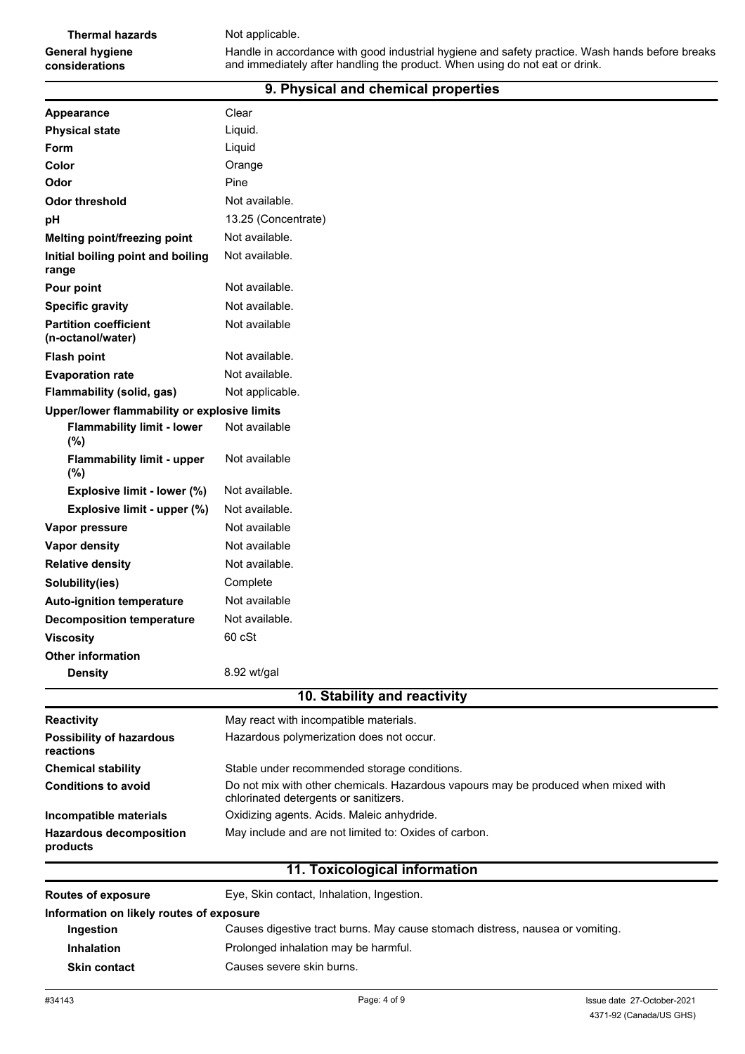Handle in accordance with good industrial hygiene and safety practice. Wash hands before breaks and immediately after handling the product. When using do not eat or drink.

### **9. Physical and chemical properties**

| Appearance                                        | Clear                                                                                                                       |
|---------------------------------------------------|-----------------------------------------------------------------------------------------------------------------------------|
| <b>Physical state</b>                             | Liquid.                                                                                                                     |
| Form                                              | Liquid                                                                                                                      |
| Color                                             | Orange                                                                                                                      |
| Odor                                              | Pine                                                                                                                        |
| <b>Odor threshold</b>                             | Not available.                                                                                                              |
| pH                                                | 13.25 (Concentrate)                                                                                                         |
| Melting point/freezing point                      | Not available.                                                                                                              |
| Initial boiling point and boiling<br>range        | Not available.                                                                                                              |
| Pour point                                        | Not available.                                                                                                              |
| <b>Specific gravity</b>                           | Not available.                                                                                                              |
| <b>Partition coefficient</b><br>(n-octanol/water) | Not available                                                                                                               |
| <b>Flash point</b>                                | Not available.                                                                                                              |
| <b>Evaporation rate</b>                           | Not available.                                                                                                              |
| <b>Flammability (solid, gas)</b>                  | Not applicable.                                                                                                             |
| Upper/lower flammability or explosive limits      |                                                                                                                             |
| <b>Flammability limit - lower</b><br>(%)          | Not available                                                                                                               |
| <b>Flammability limit - upper</b><br>$(\%)$       | Not available                                                                                                               |
| Explosive limit - lower (%)                       | Not available.                                                                                                              |
| Explosive limit - upper (%)                       | Not available.                                                                                                              |
| Vapor pressure                                    | Not available                                                                                                               |
| <b>Vapor density</b>                              | Not available                                                                                                               |
| <b>Relative density</b>                           | Not available.                                                                                                              |
| Solubility(ies)                                   | Complete                                                                                                                    |
| <b>Auto-ignition temperature</b>                  | Not available                                                                                                               |
| <b>Decomposition temperature</b>                  | Not available.                                                                                                              |
| <b>Viscosity</b>                                  | 60 cSt                                                                                                                      |
| Other information                                 |                                                                                                                             |
| <b>Density</b>                                    | 8.92 wt/gal                                                                                                                 |
|                                                   | 10. Stability and reactivity                                                                                                |
| <b>Reactivity</b>                                 | May react with incompatible materials.                                                                                      |
| <b>Possibility of hazardous</b><br>reactions      | Hazardous polymerization does not occur.                                                                                    |
| <b>Chemical stability</b>                         | Stable under recommended storage conditions.                                                                                |
| <b>Conditions to avoid</b>                        | Do not mix with other chemicals. Hazardous vapours may be produced when mixed with<br>chlorinated detergents or sanitizers. |
| Incompatible materials                            | Oxidizing agents. Acids. Maleic anhydride.                                                                                  |
| <b>Hazardous decomposition</b><br>products        | May include and are not limited to: Oxides of carbon.                                                                       |
|                                                   | 11. Toxicological information                                                                                               |
| <b>Routes of exposure</b>                         | Eye, Skin contact, Inhalation, Ingestion.                                                                                   |

| Information on likely routes of exposure |                                                                               |  |
|------------------------------------------|-------------------------------------------------------------------------------|--|
| Ingestion                                | Causes digestive tract burns. May cause stomach distress, nausea or vomiting. |  |
| <b>Inhalation</b>                        | Prolonged inhalation may be harmful.                                          |  |
| <b>Skin contact</b>                      | Causes severe skin burns.                                                     |  |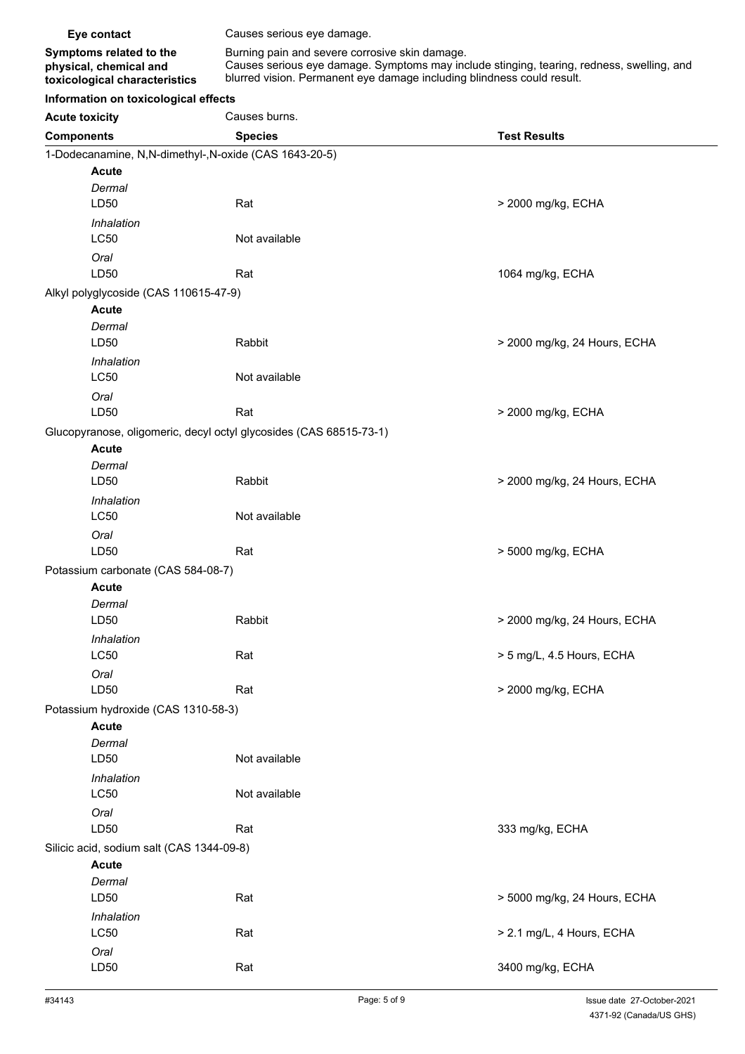| Eye contact                                                                        | Causes serious eye damage.                                                                                                                                                                                            |  |
|------------------------------------------------------------------------------------|-----------------------------------------------------------------------------------------------------------------------------------------------------------------------------------------------------------------------|--|
| Symptoms related to the<br>physical, chemical and<br>toxicological characteristics | Burning pain and severe corrosive skin damage.<br>Causes serious eye damage. Symptoms may include stinging, tearing, redness, swelling, and<br>blurred vision. Permanent eye damage including blindness could result. |  |
| Information on toxicological effects                                               |                                                                                                                                                                                                                       |  |

| Information on toxicological effects |  |
|--------------------------------------|--|
|--------------------------------------|--|

| <b>Acute toxicity</b>                     | Causes burns.                                                      |                              |  |  |
|-------------------------------------------|--------------------------------------------------------------------|------------------------------|--|--|
| <b>Components</b>                         | <b>Species</b>                                                     | <b>Test Results</b>          |  |  |
|                                           | 1-Dodecanamine, N,N-dimethyl-,N-oxide (CAS 1643-20-5)              |                              |  |  |
| <b>Acute</b>                              |                                                                    |                              |  |  |
| Dermal                                    |                                                                    |                              |  |  |
| LD50                                      | Rat                                                                | > 2000 mg/kg, ECHA           |  |  |
| Inhalation                                |                                                                    |                              |  |  |
| <b>LC50</b>                               | Not available                                                      |                              |  |  |
| Oral                                      |                                                                    |                              |  |  |
| LD50                                      | Rat                                                                | 1064 mg/kg, ECHA             |  |  |
| Alkyl polyglycoside (CAS 110615-47-9)     |                                                                    |                              |  |  |
| <b>Acute</b>                              |                                                                    |                              |  |  |
| Dermal                                    |                                                                    |                              |  |  |
| LD50                                      | Rabbit                                                             | > 2000 mg/kg, 24 Hours, ECHA |  |  |
| Inhalation                                |                                                                    |                              |  |  |
| <b>LC50</b>                               | Not available                                                      |                              |  |  |
| Oral                                      |                                                                    |                              |  |  |
| LD50                                      | Rat                                                                | > 2000 mg/kg, ECHA           |  |  |
|                                           | Glucopyranose, oligomeric, decyl octyl glycosides (CAS 68515-73-1) |                              |  |  |
| <b>Acute</b>                              |                                                                    |                              |  |  |
| Dermal<br>LD50                            | Rabbit                                                             | > 2000 mg/kg, 24 Hours, ECHA |  |  |
|                                           |                                                                    |                              |  |  |
| Inhalation<br>LC50                        | Not available                                                      |                              |  |  |
|                                           |                                                                    |                              |  |  |
| Oral<br>LD50                              | Rat                                                                | > 5000 mg/kg, ECHA           |  |  |
| Potassium carbonate (CAS 584-08-7)        |                                                                    |                              |  |  |
| <b>Acute</b>                              |                                                                    |                              |  |  |
| Dermal                                    |                                                                    |                              |  |  |
| LD50                                      | Rabbit                                                             | > 2000 mg/kg, 24 Hours, ECHA |  |  |
| Inhalation                                |                                                                    |                              |  |  |
| LC50                                      | Rat                                                                | > 5 mg/L, 4.5 Hours, ECHA    |  |  |
| Oral                                      |                                                                    |                              |  |  |
| LD50                                      | Rat                                                                | > 2000 mg/kg, ECHA           |  |  |
| Potassium hydroxide (CAS 1310-58-3)       |                                                                    |                              |  |  |
| <b>Acute</b>                              |                                                                    |                              |  |  |
| Dermal                                    |                                                                    |                              |  |  |
| LD50                                      | Not available                                                      |                              |  |  |
| Inhalation                                |                                                                    |                              |  |  |
| LC50                                      | Not available                                                      |                              |  |  |
| Oral                                      |                                                                    |                              |  |  |
| LD50                                      | Rat                                                                | 333 mg/kg, ECHA              |  |  |
| Silicic acid, sodium salt (CAS 1344-09-8) |                                                                    |                              |  |  |
| <b>Acute</b>                              |                                                                    |                              |  |  |
| Dermal                                    |                                                                    |                              |  |  |
| LD50                                      | Rat                                                                | > 5000 mg/kg, 24 Hours, ECHA |  |  |
| Inhalation                                |                                                                    |                              |  |  |
| LC50                                      | Rat                                                                | > 2.1 mg/L, 4 Hours, ECHA    |  |  |
| Oral                                      |                                                                    |                              |  |  |
| LD50                                      | Rat                                                                | 3400 mg/kg, ECHA             |  |  |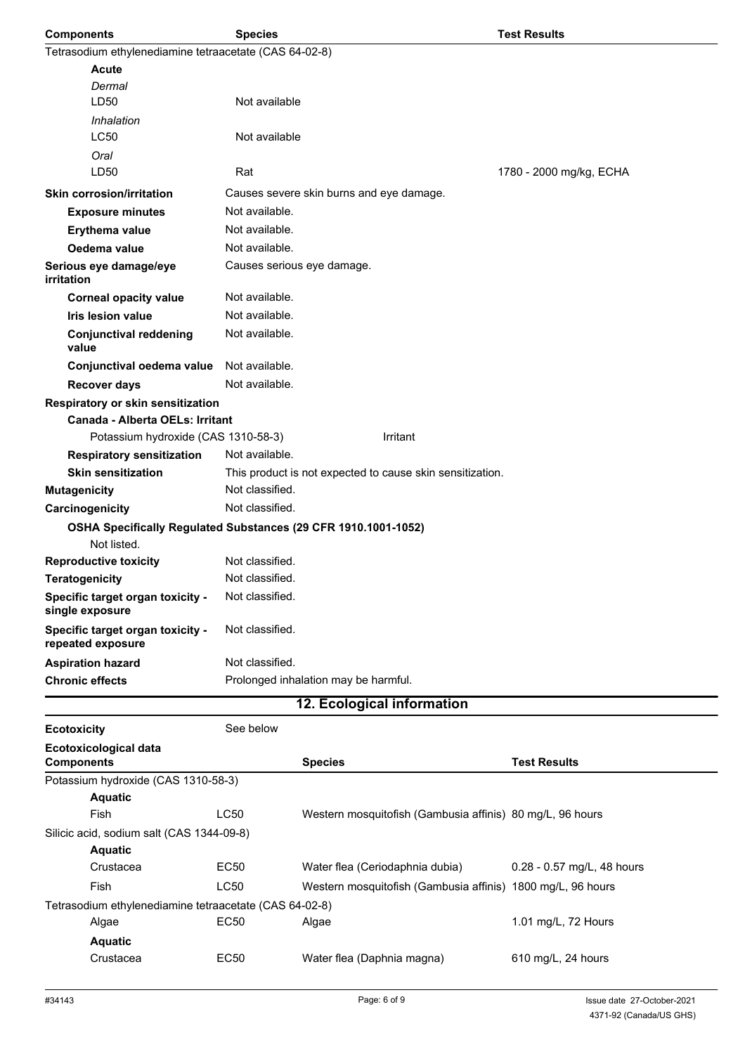| <b>Components</b>                                                             | <b>Species</b>  |                                                             | <b>Test Results</b>        |
|-------------------------------------------------------------------------------|-----------------|-------------------------------------------------------------|----------------------------|
| Tetrasodium ethylenediamine tetraacetate (CAS 64-02-8)                        |                 |                                                             |                            |
| <b>Acute</b>                                                                  |                 |                                                             |                            |
| Dermal                                                                        |                 |                                                             |                            |
| LD50                                                                          | Not available   |                                                             |                            |
| Inhalation                                                                    |                 |                                                             |                            |
| LC50                                                                          | Not available   |                                                             |                            |
| Oral                                                                          |                 |                                                             |                            |
| LD50                                                                          | Rat             |                                                             | 1780 - 2000 mg/kg, ECHA    |
| <b>Skin corrosion/irritation</b>                                              |                 | Causes severe skin burns and eye damage.                    |                            |
| <b>Exposure minutes</b>                                                       | Not available.  |                                                             |                            |
| Erythema value                                                                | Not available.  |                                                             |                            |
| Oedema value                                                                  | Not available.  |                                                             |                            |
| Serious eye damage/eye<br><i>irritation</i>                                   |                 | Causes serious eye damage.                                  |                            |
| <b>Corneal opacity value</b>                                                  | Not available.  |                                                             |                            |
| <b>Iris lesion value</b>                                                      | Not available.  |                                                             |                            |
| <b>Conjunctival reddening</b><br>value                                        | Not available.  |                                                             |                            |
| Conjunctival oedema value                                                     | Not available.  |                                                             |                            |
| <b>Recover days</b>                                                           | Not available.  |                                                             |                            |
| Respiratory or skin sensitization                                             |                 |                                                             |                            |
| Canada - Alberta OELs: Irritant                                               |                 |                                                             |                            |
| Potassium hydroxide (CAS 1310-58-3)                                           |                 | Irritant                                                    |                            |
| <b>Respiratory sensitization</b>                                              | Not available.  |                                                             |                            |
| <b>Skin sensitization</b>                                                     |                 | This product is not expected to cause skin sensitization.   |                            |
| <b>Mutagenicity</b>                                                           | Not classified. |                                                             |                            |
| Carcinogenicity                                                               | Not classified. |                                                             |                            |
| OSHA Specifically Regulated Substances (29 CFR 1910.1001-1052)<br>Not listed. |                 |                                                             |                            |
| <b>Reproductive toxicity</b>                                                  | Not classified. |                                                             |                            |
| <b>Teratogenicity</b>                                                         | Not classified. |                                                             |                            |
| Specific target organ toxicity -<br>single exposure                           | Not classified. |                                                             |                            |
| Specific target organ toxicity -<br>repeated exposure                         | Not classified. |                                                             |                            |
| <b>Aspiration hazard</b>                                                      | Not classified. |                                                             |                            |
| <b>Chronic effects</b>                                                        |                 | Prolonged inhalation may be harmful.                        |                            |
|                                                                               |                 | 12. Ecological information                                  |                            |
| <b>Ecotoxicity</b>                                                            | See below       |                                                             |                            |
| <b>Ecotoxicological data</b>                                                  |                 |                                                             |                            |
| <b>Components</b>                                                             |                 | <b>Species</b>                                              | <b>Test Results</b>        |
| Potassium hydroxide (CAS 1310-58-3)                                           |                 |                                                             |                            |
| <b>Aquatic</b>                                                                |                 |                                                             |                            |
| Fish                                                                          | <b>LC50</b>     | Western mosquitofish (Gambusia affinis) 80 mg/L, 96 hours   |                            |
| Silicic acid, sodium salt (CAS 1344-09-8)                                     |                 |                                                             |                            |
| <b>Aquatic</b>                                                                |                 |                                                             |                            |
| Crustacea                                                                     | EC50            | Water flea (Ceriodaphnia dubia)                             | 0.28 - 0.57 mg/L, 48 hours |
| Fish                                                                          | LC50            | Western mosquitofish (Gambusia affinis) 1800 mg/L, 96 hours |                            |

Tetrasodium ethylenediamine tetraacetate (CAS 64-02-8) Algae **EC50** Algae **1.01 mg/L, 72 Hours** 

**Aquatic**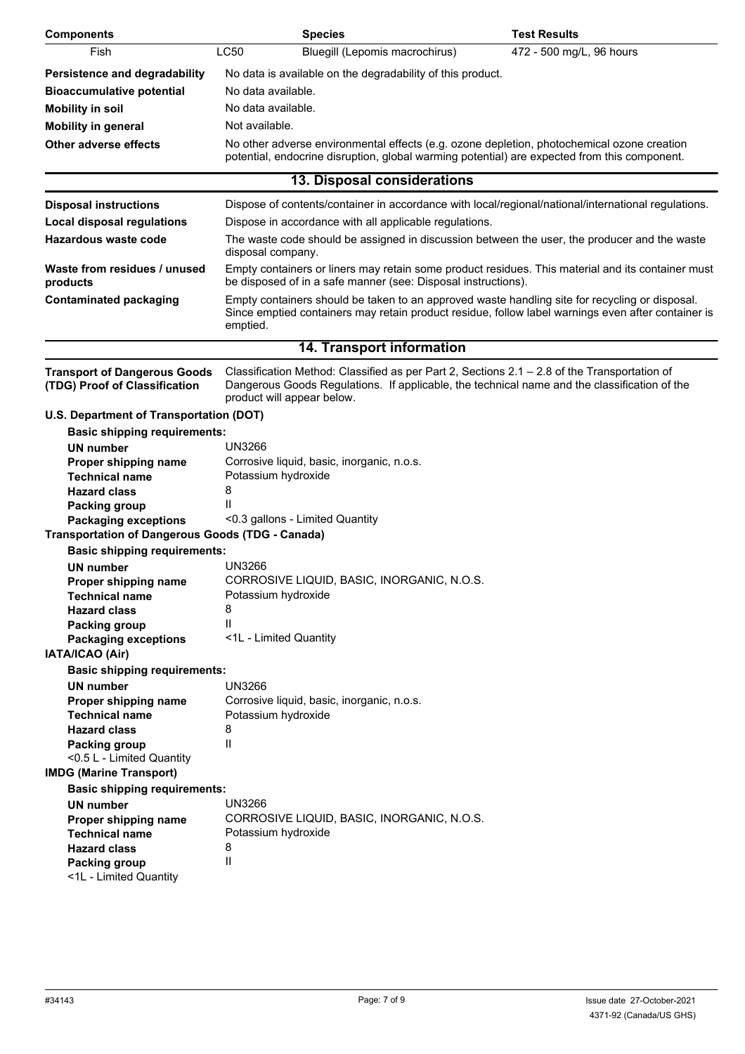| <b>Components</b>                                                    | <b>Species</b>                                                                                                                                                                                                             | <b>Test Results</b>      |  |
|----------------------------------------------------------------------|----------------------------------------------------------------------------------------------------------------------------------------------------------------------------------------------------------------------------|--------------------------|--|
| Fish                                                                 | LC50<br>Bluegill (Lepomis macrochirus)                                                                                                                                                                                     | 472 - 500 mg/L, 96 hours |  |
| <b>Persistence and degradability</b>                                 | No data is available on the degradability of this product.                                                                                                                                                                 |                          |  |
| <b>Bioaccumulative potential</b>                                     | No data available.                                                                                                                                                                                                         |                          |  |
| <b>Mobility in soil</b>                                              | No data available.                                                                                                                                                                                                         |                          |  |
| <b>Mobility in general</b>                                           | Not available.                                                                                                                                                                                                             |                          |  |
| <b>Other adverse effects</b>                                         | No other adverse environmental effects (e.g. ozone depletion, photochemical ozone creation                                                                                                                                 |                          |  |
|                                                                      | potential, endocrine disruption, global warming potential) are expected from this component.                                                                                                                               |                          |  |
|                                                                      | 13. Disposal considerations                                                                                                                                                                                                |                          |  |
| <b>Disposal instructions</b>                                         | Dispose of contents/container in accordance with local/regional/national/international regulations.                                                                                                                        |                          |  |
| <b>Local disposal regulations</b>                                    | Dispose in accordance with all applicable regulations.                                                                                                                                                                     |                          |  |
| <b>Hazardous waste code</b>                                          | The waste code should be assigned in discussion between the user, the producer and the waste<br>disposal company.                                                                                                          |                          |  |
| Waste from residues / unused<br>products                             | Empty containers or liners may retain some product residues. This material and its container must<br>be disposed of in a safe manner (see: Disposal instructions).                                                         |                          |  |
| <b>Contaminated packaging</b>                                        | Empty containers should be taken to an approved waste handling site for recycling or disposal.<br>Since emptied containers may retain product residue, follow label warnings even after container is<br>emptied.           |                          |  |
|                                                                      | 14. Transport information                                                                                                                                                                                                  |                          |  |
| <b>Transport of Dangerous Goods</b><br>(TDG) Proof of Classification | Classification Method: Classified as per Part 2, Sections 2.1 - 2.8 of the Transportation of<br>Dangerous Goods Regulations. If applicable, the technical name and the classification of the<br>product will appear below. |                          |  |
| U.S. Department of Transportation (DOT)                              |                                                                                                                                                                                                                            |                          |  |
| <b>Basic shipping requirements:</b>                                  |                                                                                                                                                                                                                            |                          |  |
| <b>UN number</b>                                                     | <b>UN3266</b>                                                                                                                                                                                                              |                          |  |
| Proper shipping name                                                 | Corrosive liquid, basic, inorganic, n.o.s.                                                                                                                                                                                 |                          |  |
| <b>Technical name</b>                                                | Potassium hydroxide                                                                                                                                                                                                        |                          |  |
| <b>Hazard class</b><br>Packing group                                 | 8                                                                                                                                                                                                                          |                          |  |
| <b>Packaging exceptions</b>                                          | <0.3 gallons - Limited Quantity                                                                                                                                                                                            |                          |  |
| <b>Transportation of Dangerous Goods (TDG - Canada)</b>              |                                                                                                                                                                                                                            |                          |  |
| <b>Basic shipping requirements:</b>                                  |                                                                                                                                                                                                                            |                          |  |
| UN number                                                            | UN3266                                                                                                                                                                                                                     |                          |  |
| Proper shipping name                                                 | CORROSIVE LIQUID, BASIC, INORGANIC, N.O.S.                                                                                                                                                                                 |                          |  |
| <b>Technical name</b>                                                | Potassium hydroxide                                                                                                                                                                                                        |                          |  |
| <b>Hazard class</b>                                                  | 8                                                                                                                                                                                                                          |                          |  |
| Packing group                                                        | Ш                                                                                                                                                                                                                          |                          |  |
| <b>Packaging exceptions</b><br>IATA/ICAO (Air)                       | <1L - Limited Quantity                                                                                                                                                                                                     |                          |  |
| <b>Basic shipping requirements:</b>                                  |                                                                                                                                                                                                                            |                          |  |
| <b>UN number</b>                                                     | <b>UN3266</b>                                                                                                                                                                                                              |                          |  |
| Proper shipping name                                                 | Corrosive liquid, basic, inorganic, n.o.s.                                                                                                                                                                                 |                          |  |
| <b>Technical name</b>                                                | Potassium hydroxide                                                                                                                                                                                                        |                          |  |
| <b>Hazard class</b>                                                  | 8                                                                                                                                                                                                                          |                          |  |
| Packing group                                                        | Ш                                                                                                                                                                                                                          |                          |  |
| <0.5 L - Limited Quantity                                            |                                                                                                                                                                                                                            |                          |  |
| <b>IMDG (Marine Transport)</b>                                       |                                                                                                                                                                                                                            |                          |  |
| <b>Basic shipping requirements:</b>                                  |                                                                                                                                                                                                                            |                          |  |
| <b>UN number</b>                                                     | <b>UN3266</b><br>CORROSIVE LIQUID, BASIC, INORGANIC, N.O.S.                                                                                                                                                                |                          |  |
| Proper shipping name<br><b>Technical name</b>                        | Potassium hydroxide                                                                                                                                                                                                        |                          |  |
| <b>Hazard class</b>                                                  | 8                                                                                                                                                                                                                          |                          |  |
| <b>Packing group</b>                                                 | $\mathsf{II}$                                                                                                                                                                                                              |                          |  |
| <1L - Limited Quantity                                               |                                                                                                                                                                                                                            |                          |  |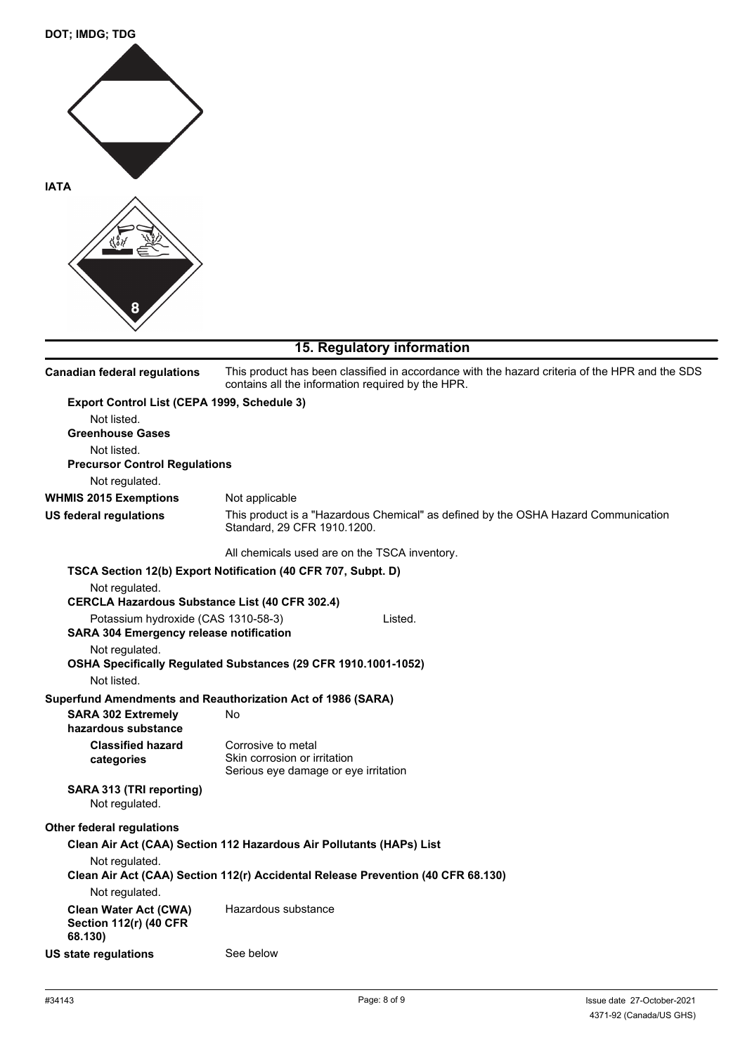

# **15. Regulatory information**

| <b>Canadian federal regulations</b>                                                      | This product has been classified in accordance with the hazard criteria of the HPR and the SDS<br>contains all the information required by the HPR. |
|------------------------------------------------------------------------------------------|-----------------------------------------------------------------------------------------------------------------------------------------------------|
| Export Control List (CEPA 1999, Schedule 3)                                              |                                                                                                                                                     |
| Not listed.                                                                              |                                                                                                                                                     |
| <b>Greenhouse Gases</b>                                                                  |                                                                                                                                                     |
| Not listed.                                                                              |                                                                                                                                                     |
| <b>Precursor Control Regulations</b>                                                     |                                                                                                                                                     |
| Not regulated.                                                                           |                                                                                                                                                     |
| <b>WHMIS 2015 Exemptions</b>                                                             | Not applicable                                                                                                                                      |
| <b>US federal regulations</b>                                                            | This product is a "Hazardous Chemical" as defined by the OSHA Hazard Communication<br>Standard, 29 CFR 1910.1200.                                   |
|                                                                                          | All chemicals used are on the TSCA inventory.                                                                                                       |
|                                                                                          | TSCA Section 12(b) Export Notification (40 CFR 707, Subpt. D)                                                                                       |
| Not regulated.                                                                           |                                                                                                                                                     |
| <b>CERCLA Hazardous Substance List (40 CFR 302.4)</b>                                    |                                                                                                                                                     |
| Potassium hydroxide (CAS 1310-58-3)                                                      | Listed.                                                                                                                                             |
| <b>SARA 304 Emergency release notification</b>                                           |                                                                                                                                                     |
| Not regulated.                                                                           | OSHA Specifically Regulated Substances (29 CFR 1910.1001-1052)                                                                                      |
| Not listed.                                                                              |                                                                                                                                                     |
|                                                                                          |                                                                                                                                                     |
| Superfund Amendments and Reauthorization Act of 1986 (SARA)<br><b>SARA 302 Extremely</b> | No                                                                                                                                                  |
| hazardous substance                                                                      |                                                                                                                                                     |
| <b>Classified hazard</b>                                                                 | Corrosive to metal                                                                                                                                  |
| categories                                                                               | Skin corrosion or irritation                                                                                                                        |
|                                                                                          | Serious eye damage or eye irritation                                                                                                                |
| SARA 313 (TRI reporting)<br>Not regulated.                                               |                                                                                                                                                     |
| Other federal regulations                                                                |                                                                                                                                                     |
|                                                                                          | Clean Air Act (CAA) Section 112 Hazardous Air Pollutants (HAPs) List                                                                                |
| Not regulated.                                                                           |                                                                                                                                                     |
|                                                                                          | Clean Air Act (CAA) Section 112(r) Accidental Release Prevention (40 CFR 68.130)                                                                    |
| Not regulated.                                                                           |                                                                                                                                                     |
| <b>Clean Water Act (CWA)</b><br><b>Section 112(r) (40 CFR</b><br>68.130)                 | Hazardous substance                                                                                                                                 |
| <b>US state regulations</b>                                                              | See below                                                                                                                                           |
|                                                                                          |                                                                                                                                                     |